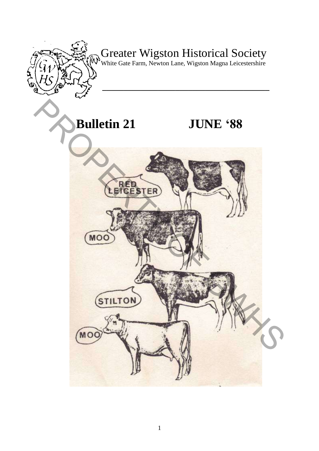

# Greater Wigston Historical Society

White Gate Farm, Newton Lane, Wigston Magna Leicestershire

**\_\_\_\_\_\_\_\_\_\_\_\_\_\_\_\_\_\_\_\_\_\_\_\_\_\_\_\_\_\_\_\_\_\_\_\_\_\_\_** 

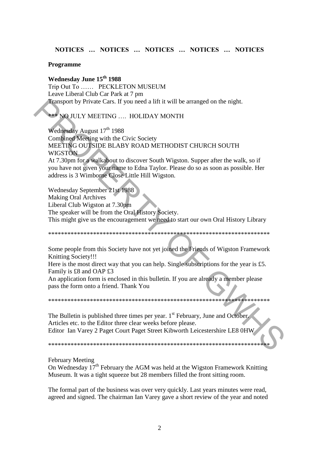## NOTICES ... NOTICES ... NOTICES ... NOTICES ... NOTICES

#### **Programme**

## Wednesday June 15<sup>th</sup> 1988

Trip Out To ...... PECKLETON MUSEUM Leave Liberal Club Car Park at 7 pm Transport by Private Cars. If you need a lift it will be arranged on the night.

**\*\*\* NO JULY MEETING .... HOLIDAY MONTH** 

Wednesday August 17th 1988 Combined Meeting with the Civic Society MEETING OUTSIDE BLABY ROAD METHODIST CHURCH SOUTH **WIGSTON** At 7.30pm for a walkabout to discover South Wigston. Supper after the walk, so if vou have not given your name to Edna Taylor. Please do so as soon as possible. Her

address is 3 Wimborne Close Little Hill Wigston.

Wednesday September 21st 1988 **Making Oral Archives** Liberal Club Wigston at 7.30pm The speaker will be from the Oral History Society. This might give us the encouragement we need to start our own Oral History Library

Some people from this Society have not yet joined the Friends of Wigston Framework Knitting Society!!!

Here is the most direct way that you can help. Single subscriptions for the year is £5. Family is £8 and OAP £3

An application form is enclosed in this bulletin. If you are already a member please pass the form onto a friend. Thank You

The Bulletin is published three times per year. 1<sup>st</sup> February, June and October. Articles etc. to the Editor three clear weeks before please. Editor Ian Varey 2 Paget Court Paget Street Kibworth Leicestershire LE8 0HW

#### **February Meeting**

On Wednesday  $17<sup>th</sup>$  February the AGM was held at the Wigston Framework Knitting Museum. It was a tight squeeze but 28 members filled the front sitting room.

The formal part of the business was over very quickly. Last years minutes were read, agreed and signed. The chairman Ian Varey gave a short review of the year and noted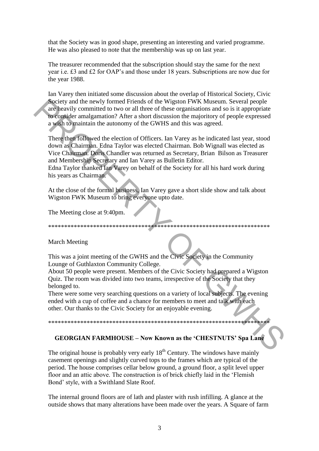that the Society was in good shape, presenting an interesting and varied programme. He was also pleased to note that the membership was up on last year.

The treasurer recommended that the subscription should stay the same for the next year i.e. £3 and £2 for OAP's and those under 18 years. Subscriptions are now due for the year 1988.

Ian Varey then initiated some discussion about the overlap of Historical Society, Civic Society and the newly formed Friends of the Wigston FWK Museum. Several people are heavily committed to two or all three of these organisations and so is it appropriate to consider amalgamation? After a short discussion the majoritory of people expressed a wish to maintain the autonomy of the GWHS and this was agreed.

There then followed the election of Officers. Ian Varey as he indicated last year, stood down as Chairman. Edna Taylor was elected Chairman. Bob Wignall was elected as Vice Chairman. Doris Chandler was returned as Secretary, Brian Bilson as Treasurer and Membership Secretary and Ian Varey as Bulletin Editor.

Edna Taylor thanked Ian Varey on behalf of the Society for all his hard work during his years as Chairman.

At the close of the formal business, Ian Varey gave a short slide show and talk about Wigston FWK Museum to bring everyone upto date.

The Meeting close at 9:40pm.

#### March Meeting

This was a joint meeting of the GWHS and the Civic Society in the Community Lounge of Guthlaxton Community College.

About 50 people were present. Members of the Civic Society had prepared a Wigston Quiz. The room was divided into two teams, irrespective of the Society that they belonged to.

There were some very searching questions on a variety of local subjects. The evening ended with a cup of coffee and a chance for members to meet and talk with each other. Our thanks to the Civic Society for an enjoyable evening.

#### 

#### **GEORGIAN FARMHOUSE - Now Known as the 'CHESTNUTS' Spa Lane**

The original house is probably very early  $18<sup>th</sup>$  Century. The windows have mainly casement openings and slightly curved tops to the frames which are typical of the period. The house comprises cellar below ground, a ground floor, a split level upper floor and an attic above. The construction is of brick chiefly laid in the 'Flemish' Bond' style, with a Swithland Slate Roof.

The internal ground floors are of lath and plaster with rush infilling. A glance at the outside shows that many alterations have been made over the years. A Square of farm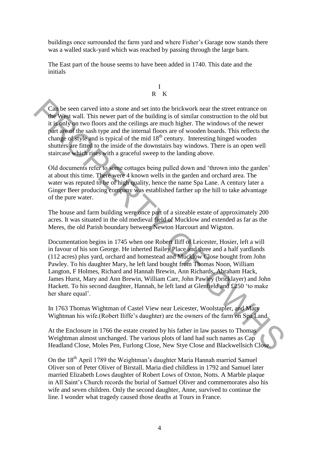buildings once surrounded the farm yard and where Fisher"s Garage now stands there was a walled stack-yard which was reached by passing through the large barn.

The East part of the house seems to have been added in 1740. This date and the initials



Can be seen carved into a stone and set into the brickwork near the street entrance on the West wall. This newer part of the building is of similar construction to the old but it is only on two floors and the ceilings are much higher. The windows of the newer part are of the sash type and the internal floors are of wooden boards. This reflects the change of style and is typical of the mid  $18<sup>th</sup>$  century. Interesting hinged wooden shutters are fitted to the inside of the downstairs bay windows. There is an open well staircase which rises with a graceful sweep to the landing above.

Old documents refer to some cottages being pulled down and "thrown into the garden" at about this time. There were 4 known wells in the garden and orchard area. The water was reputed to be of high quality, hence the name Spa Lane. A century later a Ginger Beer producing company was established farther up the hill to take advantage of the pure water.

The house and farm building were once part of a sizeable estate of approximately 200 acres. It was situated in the old medieval field of Mucklow and extended as far as the Meres, the old Parish boundary between Newton Harcourt and Wigston.

Documentation begins in 1745 when one Robert Iliff of Leicester, Hosier, left a will in favour of his son George. He inherted Bailey Place and three and a half yardlands (112 acres) plus yard, orchard and homestead and Mucklow Close bought from John Pawley. To his daughter Mary, he left land bought from Thomas Noon, William Langton, F Holmes, Richard and Hannah Brewin, Ann Richards, Abraham Hack, James Hurst, Mary and Ann Brewin, William Carr, John Pawley (bricklayer) and John Hackett. To his second daughter, Hannah, he left land at Glenfield and £250 "to make her share equal'. Can be seen carved into a stone and set into the brickwork near the street entrance on<br>the Vest wall. This newer part of the building is of smaller construction to the old but<br>it is only on two floors and the ceilings are

In 1763 Thomas Wightman of Castel View near Leicester, Woolstapler, and Mary Wightman his wife.(Robert Iliffe's daughter) are the owners of the farm on Spa Land.

At the Enclosure in 1766 the estate created by his father in law passes to Thomas Weightman almost unchanged. The various plots of land had such names as Cap Headland Close, Moles Pen, Furlong Close, New Stye Close and Blackwellsich Close.

On the 18<sup>th</sup> April 1789 the Weightman's daughter Maria Hannah married Samuel Oliver son of Peter Oliver of Birstall. Maria died childless in 1792 and Samuel later married Elizabeth Lows daughter of Robert Lows of Oxton, Notts. A Marble plaque in All Saint"s Church records the burial of Samuel Oliver and commemorates also his wife and seven children. Only the second daughter, Anne, survived to continue the line. I wonder what tragedy caused those deaths at Tours in France.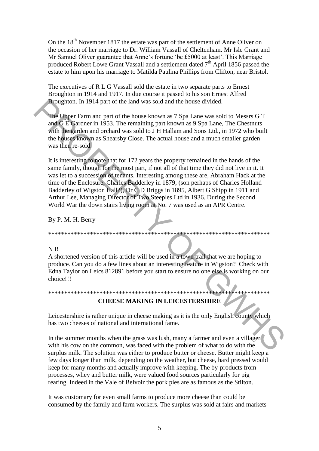On the 18<sup>th</sup> November 1817 the estate was part of the settlement of Anne Oliver on the occasion of her marriage to Dr. William Vassall of Cheltenham. Mr Isle Grant and Mr Samuel Oliver guarantee that Anne's fortune 'be £5000 at least'. This Marriage produced Robert Lowe Grant Vassall and a settlement dated  $7<sup>th</sup>$  April 1856 passed the estate to him upon his marriage to Matilda Paulina Phillips from Clifton, near Bristol.

The executives of R L G Vassall sold the estate in two separate parts to Ernest Broughton in 1914 and 1917. In due course it passed to his son Ernest Alfred Broughton. In 1914 part of the land was sold and the house divided.

The Upper Farm and part of the house known as 7 Spa Lane was sold to Messrs G T and G E Gardner in 1953. The remaining part known as 9 Spa Lane, The Chestnuts with the garden and orchard was sold to J H Hallam and Sons Ltd., in 1972 who built the houses known as Shearsby Close. The actual house and a much smaller garden was then re-sold.

It is interesting to note that for 172 years the property remained in the hands of the same family, though for the most part, if not all of that time they did not live in it. It was let to a succession of tenants. Interesting among these are, Abraham Hack at the time of the Enclosure, Charles Badderley in 1879, (son perhaps of Charles Holland Badderley of Wigston Hall?), Dr C D Briggs in 1895, Albert G Shipp in 1911 and Arthur Lee, Managing Director of Two Steeples Ltd in 1936. During the Second World War the down stairs living room at No. 7 was used as an APR Centre. **Procedure 19914 part of the land was sold and the house divided.**<br>
The Upper Farm and part of the house known as 7 Spa Lane, the Chesnuts<br>
with the graden and orchard was sold to JH Hallam and Sons Lad, in 1972 who built

By P. M. H. Berry

#### N B

A shortened version of this article will be used in a town trail that we are hoping to produce. Can you do a few lines about an interesting feature in Wigston? Check with Edna Taylor on Leics 812891 before you start to ensure no one else is working on our choice!!!

\*\*\*\*\*\*\*\*\*\*\*\*\*\*\*\*\*\*\*\*\*\*\*\*\*\*\*\*\*\*\*\*\*\*\*\*\*\*\*\*\*\*\*\*\*\*\*\*\*\*\*\*\*\*\*\*\*\*\*\*\*\*\*\*\*\*\*\*\*

## \*\*\*\*\*\*\*\*\*\*\*\*\*\*\*\*\*\*\*\*\*\*\*\*\*\*\*\*\*\*\*\*\*\*\*\*\*\*\*\*\*\*\*\*\*\*\*\*\*\*\*\*\*\*\*\*\*\*\*\*\*\*\*\*\*\*\*\*\* **CHEESE MAKING IN LEICESTERSHIRE**

Leicestershire is rather unique in cheese making as it is the only English county which has two cheeses of national and international fame.

In the summer months when the grass was lush, many a farmer and even a villager with his cow on the common, was faced with the problem of what to do with the surplus milk. The solution was either to produce butter or cheese. Butter might keep a few days longer than milk, depending on the weather, but cheese, hard pressed would keep for many months and actually improve with keeping. The by-products from processes, whey and butter milk, were valued food sources particularly for pig rearing. Indeed in the Vale of Belvoir the pork pies are as famous as the Stilton.

It was customary for even small farms to produce more cheese than could be consumed by the family and farm workers. The surplus was sold at fairs and markets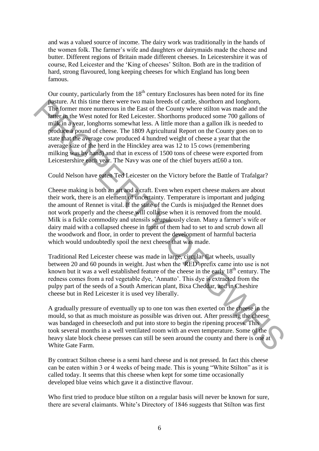and was a valued source of income. The dairy work was traditionally in the hands of the women folk. The farmer"s wife and daughters or dairymaids made the cheese and butter. Different regions of Britain made different cheeses. In Leicestershire it was of course, Red Leicester and the "King of cheeses" Stilton. Both are in the tradition of hard, strong flavoured, long keeping cheeses for which England has long been famous.

Our county, particularly from the  $18<sup>th</sup>$  century Enclosures has been noted for its fine pasture. At this time there were two main breeds of cattle, shorthorn and longhorn, The former more numerous in the East of the County where stilton was made and the latter in the West noted for Red Leicester. Shorthorns produced some 700 gallons of milk in a year, longhorns somewhat less. A little more than a gallon ilk is needed to produce a pound of cheese. The 1809 Agricultural Report on the County goes on to state that the average cow produced 4 hundred weight of cheese a year that the average size of the herd in the Hinckley area was 12 to 15 cows (remembering milking was by hand) and that in excess of 1500 tons of cheese were exported from Leicestershire each year. The Navy was one of the chief buyers at£60 a ton. **partire.** At this time there were two main breads of cattle, shortbom and longborn, This former more numerous in the East of the County where stilton was made and the lattice in Revent of Red Leicester. Shortboms produce

Could Nelson have eaten Ted Leicester on the Victory before the Battle of Trafalgar?

Cheese making is both an art and a craft. Even when expert cheese makers are about their work, there is an element of uncertainty. Temperature is important and judging the amount of Rennet is vital. If the state of the Curds is misjudged the Rennet does not work properly and the cheese will collapse when it is removed from the mould. Milk is a fickle commodity and utensils scrupulously clean. Many a farmer's wife or dairy maid with a collapsed cheese in front of them had to set to and scrub down all the woodwork and floor, in order to prevent the development of harmful bacteria which would undoubtedly spoil the next cheese that was made.

Traditional Red Leicester cheese was made in large, circular flat wheels, usually between 20 and 60 pounds in weight. Just when the "RED" prefix came into use is not known but it was a well established feature of the cheese in the early  $18<sup>th</sup>$  century. The redness comes from a red vegetable dye, "Annatto". This dye is extracted from the pulpy part of the seeds of a South American plant, Bixa Cheddar, and in Cheshire cheese but in Red Leicester it is used vey liberally.

A gradually pressure of eventually up to one ton was then exerted on the cheese in the mould, so that as much moisture as possible was driven out. After pressing the cheese was bandaged in cheesecloth and put into store to begin the ripening process. This took several months in a well ventilated room with an even temperature. Some of the heavy slate block cheese presses can still be seen around the county and there is one at White Gate Farm.

By contract Stilton cheese is a semi hard cheese and is not pressed. In fact this cheese can be eaten within 3 or 4 weeks of being made. This is young "White Stilton" as it is called today. It seems that this cheese when kept for some time occasionally developed blue veins which gave it a distinctive flavour.

Who first tried to produce blue stilton on a regular basis will never be known for sure, there are several claimants. White"s Directory of 1846 suggests that Stilton was first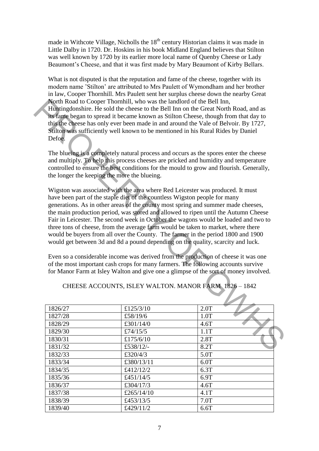made in Withcote Village, Nicholls the  $18<sup>th</sup>$  century Historian claims it was made in Little Dalby in 1720. Dr. Hoskins in his book Midland England believes that Stilton was well known by 1720 by its earlier more local name of Quenby Cheese or Lady Beaumont's Cheese, and that it was first made by Mary Beaumont of Kirby Bellars.

What is not disputed is that the reputation and fame of the cheese, together with its modern name "Stilton" are attributed to Mrs Paulett of Wymondham and her brother in law, Cooper Thornhill. Mrs Paulett sent her surplus cheese down the nearby Great North Road to Cooper Thornhill, who was the landlord of the Bell Inn, Huntingdonshire. He sold the cheese to the Bell Inn on the Great North Road, and as its fame began to spread it became known as Stilton Cheese, though from that day to this the cheese has only ever been made in and around the Vale of Belvoir. By 1727, Stilton was sufficiently well known to be mentioned in his Rural Rides by Daniel Defoe.

The blueing is a completely natural process and occurs as the spores enter the cheese and multiply. To help this process cheeses are pricked and humidity and temperature controlled to ensure the best conditions for the mould to grow and flourish. Generally, the longer the keeping the more the blueing.

Wigston was associated with the area where Red Leicester was produced. It must have been part of the staple diet of the countless Wigston people for many generations. As in other areas of the county most spring and summer made cheeses, the main production period, was stored and allowed to ripen until the Autumn Cheese Fair in Leicester. The second week in October the wagons would be loaded and two to three tons of cheese, from the average farm would be taken to market, where there would be buyers from all over the County. The farmer in the period 1800 and 1900 would get between 3d and 8d a pound depending on the quality, scarcity and luck. **Notificadore Cooper Thomhill, who was the landloted of the Bell Inn of the Control Radio Cooper Thomhill, who was the landloted of the Bell Inn on the Great North Road, and as<br>
The beginn to spread it became known as Sit** 

Even so a considerable income was derived from the production of cheese it was one of the most important cash crops for many farmers. The following accounts survive for Manor Farm at Isley Walton and give one a glimpse of the sort of money involved.

| CHEESE ACCOUNTS, ISLEY WALTON. MANOR FARM 1826 - 1842 |  |  |
|-------------------------------------------------------|--|--|
|                                                       |  |  |
|                                                       |  |  |

| 1826/27 | £125/3/10  | 2.0T |  |
|---------|------------|------|--|
| 1827/28 | £58/19/6   | 1.0T |  |
| 1828/29 | £301/14/0  | 4.6T |  |
| 1829/30 | £74/15/5   | 1.1T |  |
| 1830/31 | £175/6/10  | 2.8T |  |
| 1831/32 | £538/12/-  | 8.2T |  |
| 1832/33 | £320/4/3   | 5.0T |  |
| 1833/34 | £380/13/11 | 6.0T |  |
| 1834/35 | £412/12/2  | 6.3T |  |
| 1835/36 | £451/14/5  | 6.9T |  |
| 1836/37 | £304/17/3  | 4.6T |  |
| 1837/38 | £265/14/10 | 4.1T |  |
| 1838/39 | £453/13/5  | 7.0T |  |
| 1839/40 | £429/11/2  | 6.6T |  |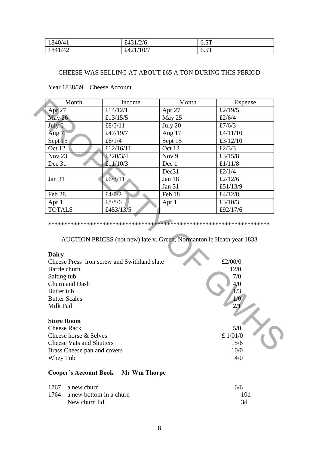| 1840/41 | £431/2/6      | $\epsilon$<br>0.51 |
|---------|---------------|--------------------|
| 1841/42 | £421/<br>10/7 | $\epsilon$<br>0.51 |

### CHEESE WAS SELLING AT ABOUT £65 A TON DURING THIS PERIOD

| Month                           | Income                                      | Month                                                                | Expense    |
|---------------------------------|---------------------------------------------|----------------------------------------------------------------------|------------|
| Apr <sub>27</sub>               | £14/12/1                                    | Apr 27                                                               | £2/19/5    |
| May 26                          | £13/15/5                                    | May 25                                                               | £2/6/4     |
| July $6$                        | £8/5/11                                     | July 20                                                              | £7/6/3     |
| Aug $7$                         | £47/19/7                                    | Aug 17                                                               | £4/11/10   |
| Sept 15                         | £6/1/4                                      | Sept 15                                                              | £3/12/10   |
| Oct 12                          | £12/16/11                                   | Oct 12                                                               | £2/3/3     |
| Nov $23$                        | £320/3/4                                    | Nov 9                                                                | £3/15/8    |
| Dec 31                          | £11/10/3                                    | Dec 1                                                                | £ $1/11/8$ |
|                                 |                                             | Dec31                                                                | £2/1/4     |
| Jan 31                          | £6/3/11                                     | Jan 18                                                               | £2/12/6    |
|                                 |                                             | <b>Jan 31</b>                                                        | £51/13/9   |
| Feb 28                          | £4/0/2                                      | Feb 18                                                               | £4/12/8    |
| Apr 1                           | £8/8/6                                      | Apr 1                                                                | £3/10/3    |
| <b>TOTALS</b>                   | £453/13/5                                   |                                                                      | £92/17/6   |
|                                 |                                             | AUCTION PRICES (not new) late v. Green, Normanton le Heath year 1833 |            |
| <b>Dairy</b>                    |                                             |                                                                      |            |
|                                 | Cheese Press iron screw and Swithland slate |                                                                      | £2/00/0    |
| Barrle churn                    |                                             |                                                                      | 12/0       |
| Salting tub                     |                                             |                                                                      | 7/0        |
| Churn and Dash                  |                                             |                                                                      | 4/0        |
| Butter tub                      |                                             |                                                                      | 1/3        |
| <b>Butter Scales</b>            |                                             |                                                                      | 1/0        |
| Milk Pail                       |                                             |                                                                      | 2/1        |
| <b>Store Room</b>               |                                             |                                                                      |            |
| <b>Cheese Rack</b>              |                                             |                                                                      | 5/0        |
| Cheese horse & Selves           |                                             |                                                                      | £ $1/01/0$ |
| <b>Cheese Vats and Shutters</b> |                                             |                                                                      | 15/6       |
| Brass Cheese pan and covers     |                                             |                                                                      | 10/0       |

Year 1838/39 Cheese Account

#### **Dairy**

- Cheese Press iron screw and Swithland slate  $\text{£}2/00/0$ Barrle churn 12/0 Salting tub 7/0 Churn and Dash  $4/0$ Butter tub **Butter Scales** Milk Pail  $2/1$ **Store Room**  Cheese Rack 5/0
- Cheese horse & Selves  $\pm 1/01/0$ Cheese Vats and Shutters 15/6 Brass Cheese pan and covers 10/0 Whey Tub  $4/0$

## **Cooper's Account Book Mr Wm Thorpe**

| 1767 a new churn             | 6/6 |
|------------------------------|-----|
| 1764 a new bottom in a churn | 10d |
| New churn lid                | 3d  |